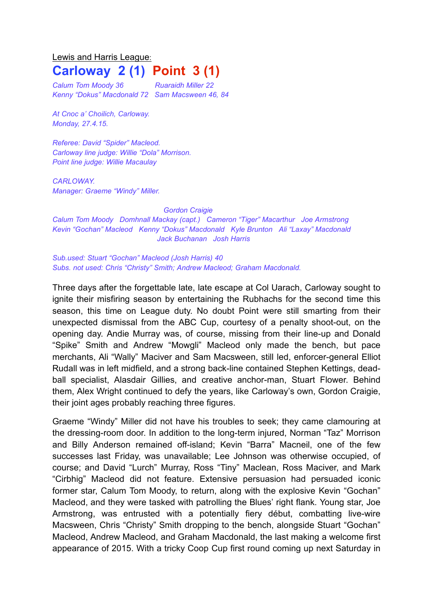## Lewis and Harris League: **Carloway 2 (1) Point 3 (1)**

*Calum Tom Moody 36 Ruaraidh Miller 22 Kenny "Dokus" Macdonald 72 Sam Macsween 46, 84* 

*At Cnoc a' Choilich, Carloway. Monday, 27.4.15.*

*Referee: David "Spider" Macleod. Carloway line judge: Willie "Dola" Morrison. Point line judge: Willie Macaulay*

*CARLOWAY. Manager: Graeme "Windy" Miller.*

## *Gordon Craigie*

*Calum Tom Moody Domhnall Mackay (capt.) Cameron "Tiger" Macarthur Joe Armstrong Kevin "Gochan" Macleod Kenny "Dokus" Macdonald Kyle Brunton Ali "Laxay" Macdonald Jack Buchanan Josh Harris*

*Sub.used: Stuart "Gochan" Macleod (Josh Harris) 40 Subs. not used: Chris "Christy" Smith; Andrew Macleod; Graham Macdonald.* 

Three days after the forgettable late, late escape at Col Uarach, Carloway sought to ignite their misfiring season by entertaining the Rubhachs for the second time this season, this time on League duty. No doubt Point were still smarting from their unexpected dismissal from the ABC Cup, courtesy of a penalty shoot-out, on the opening day. Andie Murray was, of course, missing from their line-up and Donald "Spike" Smith and Andrew "Mowgli" Macleod only made the bench, but pace merchants, Ali "Wally" Maciver and Sam Macsween, still led, enforcer-general Elliot Rudall was in left midfield, and a strong back-line contained Stephen Kettings, deadball specialist, Alasdair Gillies, and creative anchor-man, Stuart Flower. Behind them, Alex Wright continued to defy the years, like Carloway's own, Gordon Craigie, their joint ages probably reaching three figures.

Graeme "Windy" Miller did not have his troubles to seek; they came clamouring at the dressing-room door. In addition to the long-term injured, Norman "Taz" Morrison and Billy Anderson remained off-island; Kevin "Barra" Macneil, one of the few successes last Friday, was unavailable; Lee Johnson was otherwise occupied, of course; and David "Lurch" Murray, Ross "Tiny" Maclean, Ross Maciver, and Mark "Cirbhig" Macleod did not feature. Extensive persuasion had persuaded iconic former star, Calum Tom Moody, to return, along with the explosive Kevin "Gochan" Macleod, and they were tasked with patrolling the Blues' right flank. Young star, Joe Armstrong, was entrusted with a potentially fiery début, combatting live-wire Macsween, Chris "Christy" Smith dropping to the bench, alongside Stuart "Gochan" Macleod, Andrew Macleod, and Graham Macdonald, the last making a welcome first appearance of 2015. With a tricky Coop Cup first round coming up next Saturday in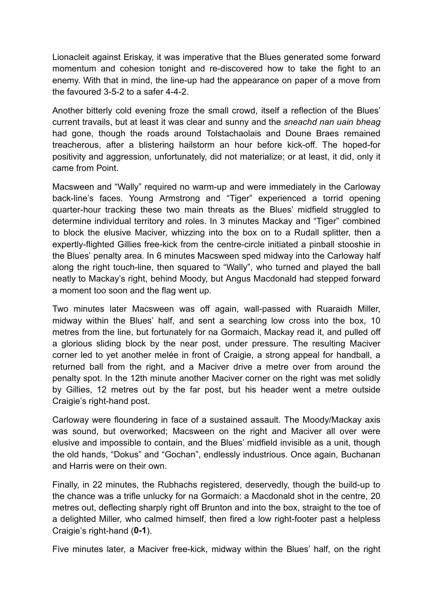Lionacleit against Eriskay, it was imperative that the Blues generated some forward momentum and cohesion tonight and re-discovered how to take the fight to an enemy. With that in mind, the line-up had the appearance on paper of a move from the favoured 3-5-2 to a safer 4-4-2.

Another bitterly cold evening froze the small crowd, itself a reflection of the Blues' current travails, but at least it was clear and sunny and the *sneachd nan uain bheag* had gone, though the roads around Tolstachaolais and Doune Braes remained treacherous, after a blistering hailstorm an hour before kick-off. The hoped-for positivity and aggression, unfortunately, did not materialize; or at least, it did, only it came from Point.

Macsween and "Wally" required no warm-up and were immediately in the Carloway back-line's faces. Young Armstrong and "Tiger" experienced a torrid opening quarter-hour tracking these two main threats as the Blues' midfield struggled to determine individual territory and roles. In 3 minutes Mackay and "Tiger" combined to block the elusive Maciver, whizzing into the box on to a Rudall splitter, then a expertly-flighted Gillies free-kick from the centre-circle initiated a pinball stooshie in the Blues' penalty area. In 6 minutes Macsween sped midway into the Carloway half along the right touch-line, then squared to "Wally", who turned and played the ball neatly to Mackay's right, behind Moody, but Angus Macdonald had stepped forward a moment too soon and the flag went up.

Two minutes later Macsween was off again, wall-passed with Ruaraidh Miller, midway within the Blues' half, and sent a searching low cross into the box, 10 metres from the line, but fortunately for na Gormaich, Mackay read it, and pulled off a glorious sliding block by the near post, under pressure. The resulting Maciver corner led to yet another melée in front of Craigie, a strong appeal for handball, a returned ball from the right, and a Maciver drive a metre over from around the penalty spot. In the 12th minute another Maciver corner on the right was met solidly by Gillies, 12 metres out by the far post, but his header went a metre outside Craigie's right-hand post.

Carloway were floundering in face of a sustained assault. The Moody/Mackay axis was sound, but overworked; Macsween on the right and Maciver all over were elusive and impossible to contain, and the Blues' midfield invisible as a unit, though the old hands, "Dokus" and "Gochan", endlessly industrious. Once again, Buchanan and Harris were on their own.

Finally, in 22 minutes, the Rubhachs registered, deservedly, though the build-up to the chance was a trifle unlucky for na Gormaich: a Macdonald shot in the centre, 20 metres out, deflecting sharply right off Brunton and into the box, straight to the toe of a delighted Miller, who calmed himself, then fired a low right-footer past a helpless Craigie's right-hand (**0-1**).

Five minutes later, a Maciver free-kick, midway within the Blues' half, on the right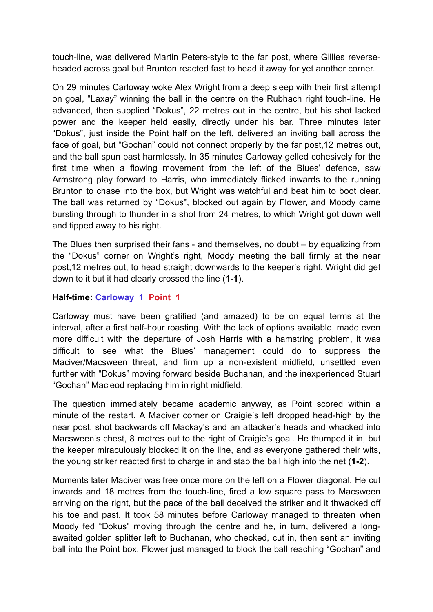touch-line, was delivered Martin Peters-style to the far post, where Gillies reverseheaded across goal but Brunton reacted fast to head it away for yet another corner.

On 29 minutes Carloway woke Alex Wright from a deep sleep with their first attempt on goal, "Laxay" winning the ball in the centre on the Rubhach right touch-line. He advanced, then supplied "Dokus", 22 metres out in the centre, but his shot lacked power and the keeper held easily, directly under his bar. Three minutes later "Dokus", just inside the Point half on the left, delivered an inviting ball across the face of goal, but "Gochan" could not connect properly by the far post,12 metres out, and the ball spun past harmlessly. In 35 minutes Carloway gelled cohesively for the first time when a flowing movement from the left of the Blues' defence, saw Armstrong play forward to Harris, who immediately flicked inwards to the running Brunton to chase into the box, but Wright was watchful and beat him to boot clear. The ball was returned by "Dokus", blocked out again by Flower, and Moody came bursting through to thunder in a shot from 24 metres, to which Wright got down well and tipped away to his right.

The Blues then surprised their fans - and themselves, no doubt – by equalizing from the "Dokus" corner on Wright's right, Moody meeting the ball firmly at the near post,12 metres out, to head straight downwards to the keeper's right. Wright did get down to it but it had clearly crossed the line (**1-1**).

## **Half-time: Carloway 1 Point 1**

Carloway must have been gratified (and amazed) to be on equal terms at the interval, after a first half-hour roasting. With the lack of options available, made even more difficult with the departure of Josh Harris with a hamstring problem, it was difficult to see what the Blues' management could do to suppress the Maciver/Macsween threat, and firm up a non-existent midfield, unsettled even further with "Dokus" moving forward beside Buchanan, and the inexperienced Stuart "Gochan" Macleod replacing him in right midfield.

The question immediately became academic anyway, as Point scored within a minute of the restart. A Maciver corner on Craigie's left dropped head-high by the near post, shot backwards off Mackay's and an attacker's heads and whacked into Macsween's chest, 8 metres out to the right of Craigie's goal. He thumped it in, but the keeper miraculously blocked it on the line, and as everyone gathered their wits, the young striker reacted first to charge in and stab the ball high into the net (**1-2**).

Moments later Maciver was free once more on the left on a Flower diagonal. He cut inwards and 18 metres from the touch-line, fired a low square pass to Macsween arriving on the right, but the pace of the ball deceived the striker and it thwacked off his toe and past. It took 58 minutes before Carloway managed to threaten when Moody fed "Dokus" moving through the centre and he, in turn, delivered a longawaited golden splitter left to Buchanan, who checked, cut in, then sent an inviting ball into the Point box. Flower just managed to block the ball reaching "Gochan" and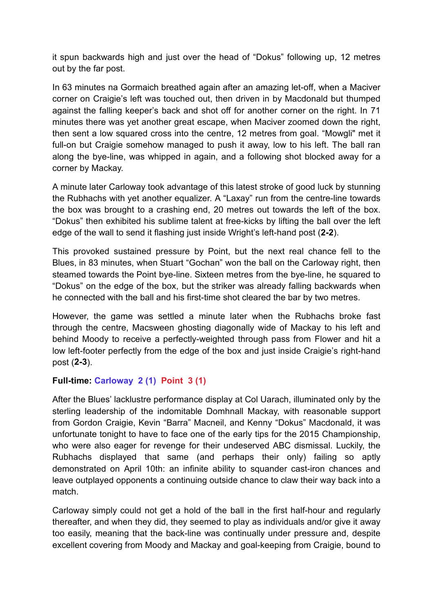it spun backwards high and just over the head of "Dokus" following up, 12 metres out by the far post.

In 63 minutes na Gormaich breathed again after an amazing let-off, when a Maciver corner on Craigie's left was touched out, then driven in by Macdonald but thumped against the falling keeper's back and shot off for another corner on the right. In 71 minutes there was yet another great escape, when Maciver zoomed down the right, then sent a low squared cross into the centre, 12 metres from goal. "Mowgli" met it full-on but Craigie somehow managed to push it away, low to his left. The ball ran along the bye-line, was whipped in again, and a following shot blocked away for a corner by Mackay.

A minute later Carloway took advantage of this latest stroke of good luck by stunning the Rubhachs with yet another equalizer. A "Laxay" run from the centre-line towards the box was brought to a crashing end, 20 metres out towards the left of the box. "Dokus" then exhibited his sublime talent at free-kicks by lifting the ball over the left edge of the wall to send it flashing just inside Wright's left-hand post (**2-2**).

This provoked sustained pressure by Point, but the next real chance fell to the Blues, in 83 minutes, when Stuart "Gochan" won the ball on the Carloway right, then steamed towards the Point bye-line. Sixteen metres from the bye-line, he squared to "Dokus" on the edge of the box, but the striker was already falling backwards when he connected with the ball and his first-time shot cleared the bar by two metres.

However, the game was settled a minute later when the Rubhachs broke fast through the centre, Macsween ghosting diagonally wide of Mackay to his left and behind Moody to receive a perfectly-weighted through pass from Flower and hit a low left-footer perfectly from the edge of the box and just inside Craigie's right-hand post (**2-3**).

## **Full-time: Carloway 2 (1) Point 3 (1)**

After the Blues' lacklustre performance display at Col Uarach, illuminated only by the sterling leadership of the indomitable Domhnall Mackay, with reasonable support from Gordon Craigie, Kevin "Barra" Macneil, and Kenny "Dokus" Macdonald, it was unfortunate tonight to have to face one of the early tips for the 2015 Championship, who were also eager for revenge for their undeserved ABC dismissal. Luckily, the Rubhachs displayed that same (and perhaps their only) failing so aptly demonstrated on April 10th: an infinite ability to squander cast-iron chances and leave outplayed opponents a continuing outside chance to claw their way back into a match.

Carloway simply could not get a hold of the ball in the first half-hour and regularly thereafter, and when they did, they seemed to play as individuals and/or give it away too easily, meaning that the back-line was continually under pressure and, despite excellent covering from Moody and Mackay and goal-keeping from Craigie, bound to